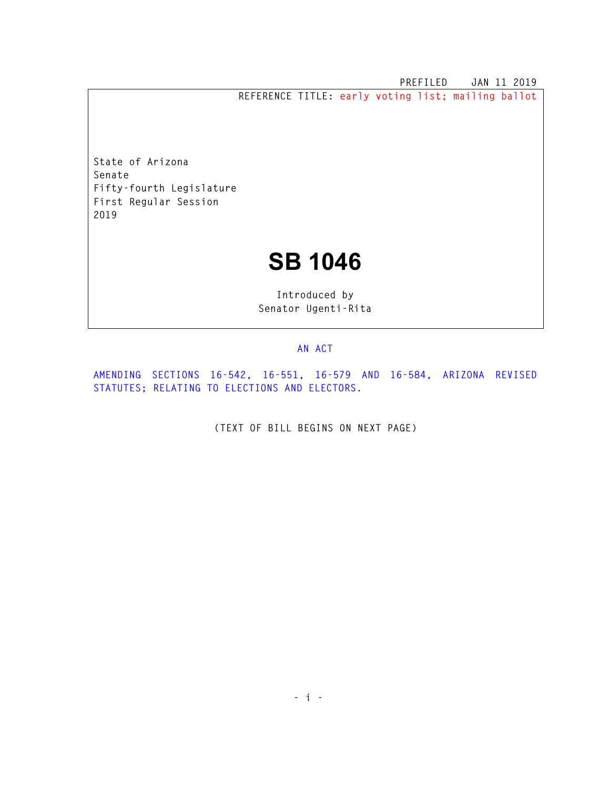**PREFILED JAN 11 2019 REFERENCE TITLE: early voting list; mailing ballot** 

**State of Arizona Senate Fifty-fourth Legislature First Regular Session 2019** 

## **SB 1046**

**Introduced by Senator Ugenti-Rita** 

## **AN ACT**

**AMENDING SECTIONS 16-542, 16-551, 16-579 AND 16-584, ARIZONA REVISED STATUTES; RELATING TO ELECTIONS AND ELECTORS.** 

**(TEXT OF BILL BEGINS ON NEXT PAGE)**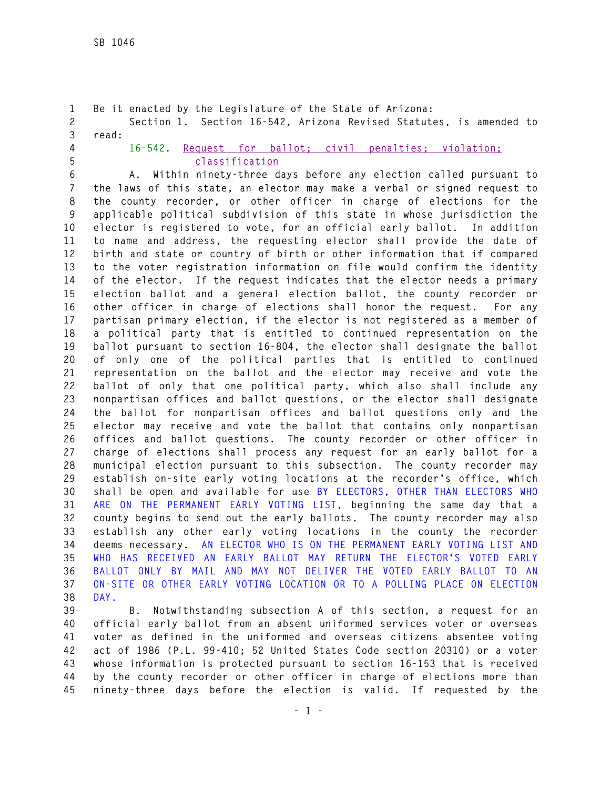```
1 Be it enacted by the Legislature of the State of Arizona: 
2 Section 1. Section 16-542, Arizona Revised Statutes, is amended to 
3 read: 
4 16-542. Request for ballot; civil penalties; violation; 
5 classification
6 A. Within ninety-three days before any election called pursuant to 
7 the laws of this state, an elector may make a verbal or signed request to 
8 the county recorder, or other officer in charge of elections for the 
9 applicable political subdivision of this state in whose jurisdiction the 
10 elector is registered to vote, for an official early ballot. In addition 
11 to name and address, the requesting elector shall provide the date of 
12 birth and state or country of birth or other information that if compared 
13 to the voter registration information on file would confirm the identity 
14 of the elector. If the request indicates that the elector needs a primary 
15 election ballot and a general election ballot, the county recorder or 
16 other officer in charge of elections shall honor the request. For any 
17 partisan primary election, if the elector is not registered as a member of 
18 a political party that is entitled to continued representation on the 
19 ballot pursuant to section 16-804, the elector shall designate the ballot 
20 of only one of the political parties that is entitled to continued 
21 representation on the ballot and the elector may receive and vote the 
22 ballot of only that one political party, which also shall include any 
23 nonpartisan offices and ballot questions, or the elector shall designate 
24 the ballot for nonpartisan offices and ballot questions only and the 
25 elector may receive and vote the ballot that contains only nonpartisan 
26 offices and ballot questions. The county recorder or other officer in 
27 charge of elections shall process any request for an early ballot for a 
28 municipal election pursuant to this subsection. The county recorder may 
29 establish on-site early voting locations at the recorder's office, which 
30 shall be open and available for use BY ELECTORS, OTHER THAN ELECTORS WHO 
31 ARE ON THE PERMANENT EARLY VOTING LIST, beginning the same day that a 
32 county begins to send out the early ballots. The county recorder may also 
33 establish any other early voting locations in the county the recorder 
34 deems necessary. AN ELECTOR WHO IS ON THE PERMANENT EARLY VOTING LIST AND 
35 WHO HAS RECEIVED AN EARLY BALLOT MAY RETURN THE ELECTOR'S VOTED EARLY 
36 BALLOT ONLY BY MAIL AND MAY NOT DELIVER THE VOTED EARLY BALLOT TO AN 
37 ON-SITE OR OTHER EARLY VOTING LOCATION OR TO A POLLING PLACE ON ELECTION 
38 DAY.
```
**39 B. Notwithstanding subsection A of this section, a request for an 40 official early ballot from an absent uniformed services voter or overseas 41 voter as defined in the uniformed and overseas citizens absentee voting 42 act of 1986 (P.L. 99-410; 52 United States Code section 20310) or a voter 43 whose information is protected pursuant to section 16-153 that is received 44 by the county recorder or other officer in charge of elections more than 45 ninety-three days before the election is valid. If requested by the**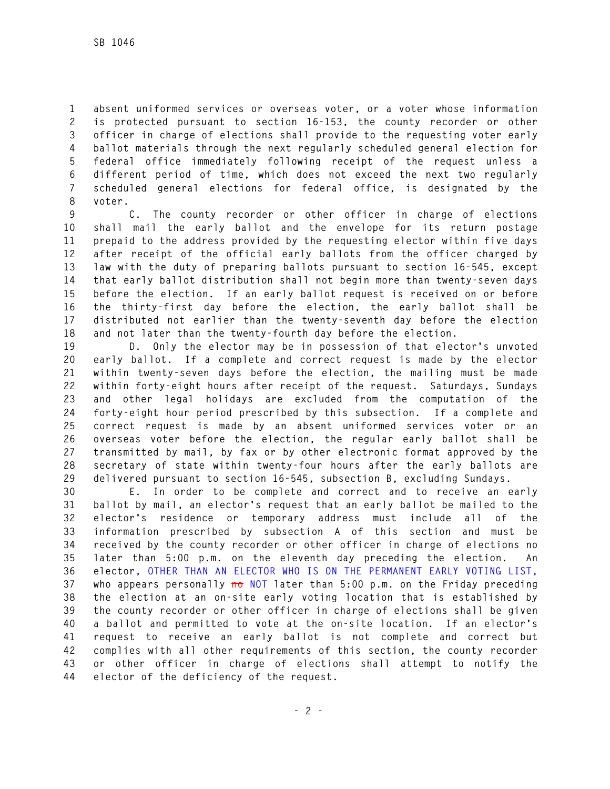**1 absent uniformed services or overseas voter, or a voter whose information 2 is protected pursuant to section 16-153, the county recorder or other 3 officer in charge of elections shall provide to the requesting voter early 4 ballot materials through the next regularly scheduled general election for 5 federal office immediately following receipt of the request unless a 6 different period of time, which does not exceed the next two regularly 7 scheduled general elections for federal office, is designated by the 8 voter.** 

**9 C. The county recorder or other officer in charge of elections 10 shall mail the early ballot and the envelope for its return postage 11 prepaid to the address provided by the requesting elector within five days 12 after receipt of the official early ballots from the officer charged by 13 law with the duty of preparing ballots pursuant to section 16-545, except 14 that early ballot distribution shall not begin more than twenty-seven days 15 before the election. If an early ballot request is received on or before 16 the thirty-first day before the election, the early ballot shall be 17 distributed not earlier than the twenty-seventh day before the election 18 and not later than the twenty-fourth day before the election.** 

**19 D. Only the elector may be in possession of that elector's unvoted 20 early ballot. If a complete and correct request is made by the elector 21 within twenty-seven days before the election, the mailing must be made 22 within forty-eight hours after receipt of the request. Saturdays, Sundays 23 and other legal holidays are excluded from the computation of the 24 forty-eight hour period prescribed by this subsection. If a complete and 25 correct request is made by an absent uniformed services voter or an 26 overseas voter before the election, the regular early ballot shall be 27 transmitted by mail, by fax or by other electronic format approved by the 28 secretary of state within twenty-four hours after the early ballots are 29 delivered pursuant to section 16-545, subsection B, excluding Sundays.** 

**30 E. In order to be complete and correct and to receive an early 31 ballot by mail, an elector's request that an early ballot be mailed to the 32 elector's residence or temporary address must include all of the 33 information prescribed by subsection A of this section and must be 34 received by the county recorder or other officer in charge of elections no 35 later than 5:00 p.m. on the eleventh day preceding the election. An 36 elector, OTHER THAN AN ELECTOR WHO IS ON THE PERMANENT EARLY VOTING LIST,**  37 who appears personally no NOT later than 5:00 p.m. on the Friday preceding **38 the election at an on-site early voting location that is established by 39 the county recorder or other officer in charge of elections shall be given 40 a ballot and permitted to vote at the on-site location. If an elector's 41 request to receive an early ballot is not complete and correct but 42 complies with all other requirements of this section, the county recorder 43 or other officer in charge of elections shall attempt to notify the 44 elector of the deficiency of the request.**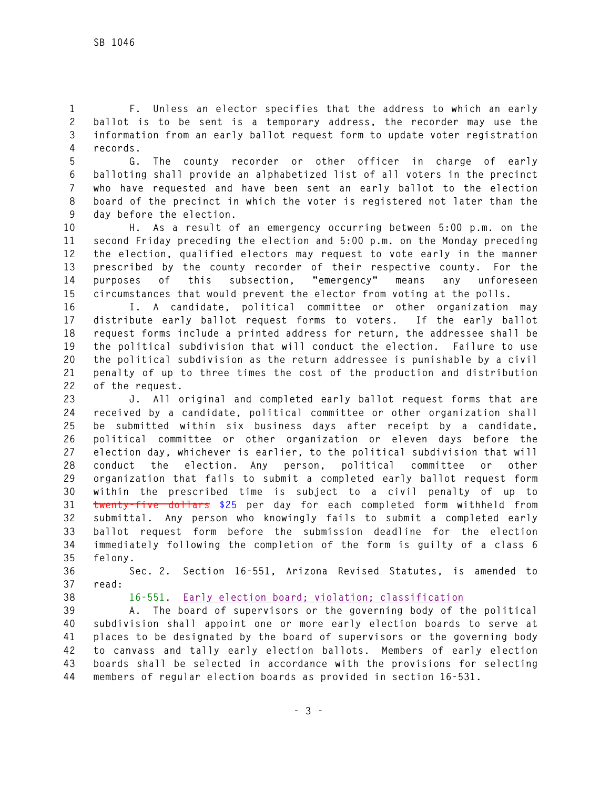**1 F. Unless an elector specifies that the address to which an early 2 ballot is to be sent is a temporary address, the recorder may use the 3 information from an early ballot request form to update voter registration 4 records.** 

**5 G. The county recorder or other officer in charge of early 6 balloting shall provide an alphabetized list of all voters in the precinct 7 who have requested and have been sent an early ballot to the election 8 board of the precinct in which the voter is registered not later than the 9 day before the election.** 

**10 H. As a result of an emergency occurring between 5:00 p.m. on the 11 second Friday preceding the election and 5:00 p.m. on the Monday preceding 12 the election, qualified electors may request to vote early in the manner 13 prescribed by the county recorder of their respective county. For the 14 purposes of this subsection, "emergency" means any unforeseen 15 circumstances that would prevent the elector from voting at the polls.** 

**16 I. A candidate, political committee or other organization may 17 distribute early ballot request forms to voters. If the early ballot 18 request forms include a printed address for return, the addressee shall be 19 the political subdivision that will conduct the election. Failure to use 20 the political subdivision as the return addressee is punishable by a civil 21 penalty of up to three times the cost of the production and distribution 22 of the request.** 

**23 J. All original and completed early ballot request forms that are 24 received by a candidate, political committee or other organization shall 25 be submitted within six business days after receipt by a candidate, 26 political committee or other organization or eleven days before the 27 election day, whichever is earlier, to the political subdivision that will 28 conduct the election. Any person, political committee or other 29 organization that fails to submit a completed early ballot request form 30 within the prescribed time is subject to a civil penalty of up to 31 twenty-five dollars \$25 per day for each completed form withheld from 32 submittal. Any person who knowingly fails to submit a completed early 33 ballot request form before the submission deadline for the election 34 immediately following the completion of the form is guilty of a class 6 35 felony.** 

**36 Sec. 2. Section 16-551, Arizona Revised Statutes, is amended to 37 read:** 

**38 16-551. Early election board; violation; classification**

**39 A. The board of supervisors or the governing body of the political 40 subdivision shall appoint one or more early election boards to serve at 41 places to be designated by the board of supervisors or the governing body 42 to canvass and tally early election ballots. Members of early election 43 boards shall be selected in accordance with the provisions for selecting 44 members of regular election boards as provided in section 16-531.**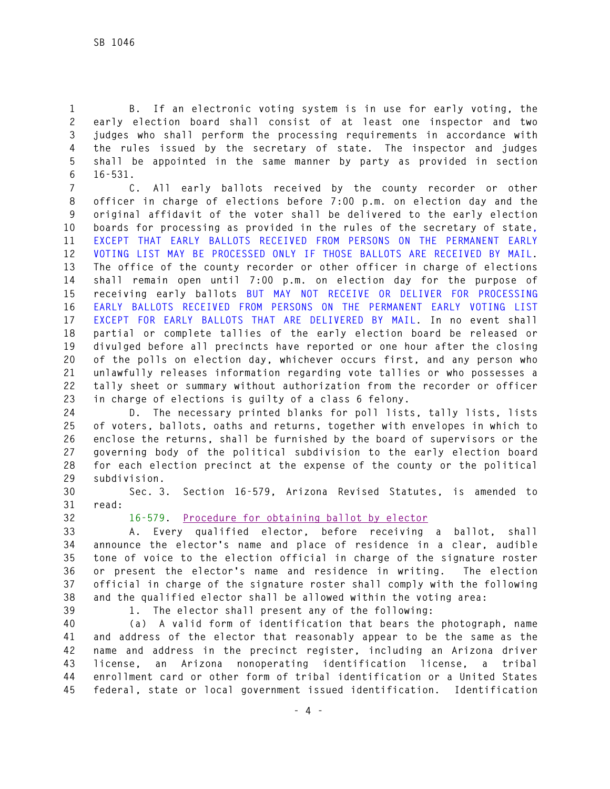**1 B. If an electronic voting system is in use for early voting, the 2 early election board shall consist of at least one inspector and two 3 judges who shall perform the processing requirements in accordance with 4 the rules issued by the secretary of state. The inspector and judges 5 shall be appointed in the same manner by party as provided in section 6 16-531.** 

**7 C. All early ballots received by the county recorder or other 8 officer in charge of elections before 7:00 p.m. on election day and the 9 original affidavit of the voter shall be delivered to the early election 10 boards for processing as provided in the rules of the secretary of state, 11 EXCEPT THAT EARLY BALLOTS RECEIVED FROM PERSONS ON THE PERMANENT EARLY 12 VOTING LIST MAY BE PROCESSED ONLY IF THOSE BALLOTS ARE RECEIVED BY MAIL. 13 The office of the county recorder or other officer in charge of elections 14 shall remain open until 7:00 p.m. on election day for the purpose of 15 receiving early ballots BUT MAY NOT RECEIVE OR DELIVER FOR PROCESSING 16 EARLY BALLOTS RECEIVED FROM PERSONS ON THE PERMANENT EARLY VOTING LIST 17 EXCEPT FOR EARLY BALLOTS THAT ARE DELIVERED BY MAIL. In no event shall 18 partial or complete tallies of the early election board be released or 19 divulged before all precincts have reported or one hour after the closing 20 of the polls on election day, whichever occurs first, and any person who 21 unlawfully releases information regarding vote tallies or who possesses a 22 tally sheet or summary without authorization from the recorder or officer 23 in charge of elections is guilty of a class 6 felony.** 

**24 D. The necessary printed blanks for poll lists, tally lists, lists 25 of voters, ballots, oaths and returns, together with envelopes in which to 26 enclose the returns, shall be furnished by the board of supervisors or the 27 governing body of the political subdivision to the early election board 28 for each election precinct at the expense of the county or the political 29 subdivision.** 

**30 Sec. 3. Section 16-579, Arizona Revised Statutes, is amended to 31 read:** 

## **32 16-579. Procedure for obtaining ballot by elector**

**33 A. Every qualified elector, before receiving a ballot, shall 34 announce the elector's name and place of residence in a clear, audible 35 tone of voice to the election official in charge of the signature roster 36 or present the elector's name and residence in writing. The election 37 official in charge of the signature roster shall comply with the following 38 and the qualified elector shall be allowed within the voting area:** 

**39 1. The elector shall present any of the following:** 

**40 (a) A valid form of identification that bears the photograph, name 41 and address of the elector that reasonably appear to be the same as the 42 name and address in the precinct register, including an Arizona driver 43 license, an Arizona nonoperating identification license, a tribal 44 enrollment card or other form of tribal identification or a United States 45 federal, state or local government issued identification. Identification**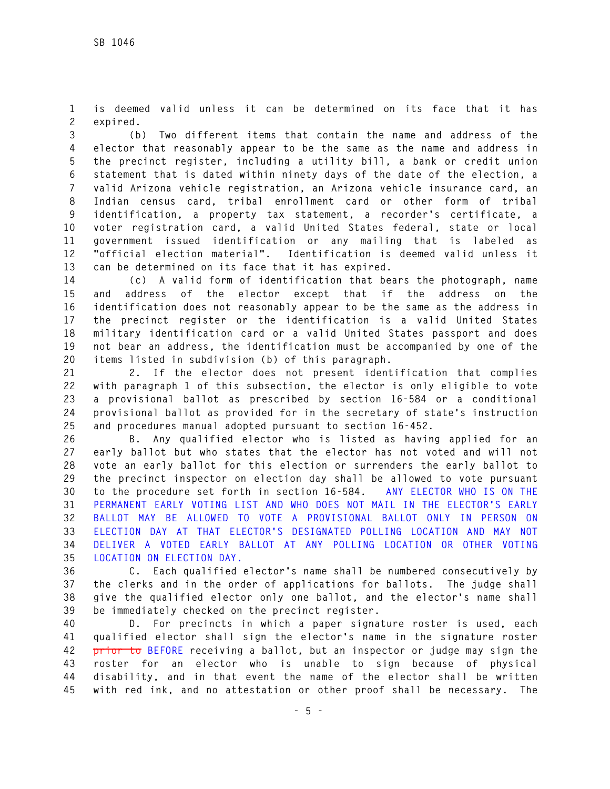**1 is deemed valid unless it can be determined on its face that it has 2 expired.** 

**3 (b) Two different items that contain the name and address of the 4 elector that reasonably appear to be the same as the name and address in 5 the precinct register, including a utility bill, a bank or credit union 6 statement that is dated within ninety days of the date of the election, a 7 valid Arizona vehicle registration, an Arizona vehicle insurance card, an 8 Indian census card, tribal enrollment card or other form of tribal 9 identification, a property tax statement, a recorder's certificate, a 10 voter registration card, a valid United States federal, state or local 11 government issued identification or any mailing that is labeled as 12 "official election material". Identification is deemed valid unless it 13 can be determined on its face that it has expired.** 

**14 (c) A valid form of identification that bears the photograph, name 15 and address of the elector except that if the address on the 16 identification does not reasonably appear to be the same as the address in 17 the precinct register or the identification is a valid United States 18 military identification card or a valid United States passport and does 19 not bear an address, the identification must be accompanied by one of the 20 items listed in subdivision (b) of this paragraph.** 

**21 2. If the elector does not present identification that complies 22 with paragraph 1 of this subsection, the elector is only eligible to vote 23 a provisional ballot as prescribed by section 16-584 or a conditional 24 provisional ballot as provided for in the secretary of state's instruction 25 and procedures manual adopted pursuant to section 16-452.** 

**26 B. Any qualified elector who is listed as having applied for an 27 early ballot but who states that the elector has not voted and will not 28 vote an early ballot for this election or surrenders the early ballot to 29 the precinct inspector on election day shall be allowed to vote pursuant 30 to the procedure set forth in section 16-584. ANY ELECTOR WHO IS ON THE 31 PERMANENT EARLY VOTING LIST AND WHO DOES NOT MAIL IN THE ELECTOR'S EARLY 32 BALLOT MAY BE ALLOWED TO VOTE A PROVISIONAL BALLOT ONLY IN PERSON ON 33 ELECTION DAY AT THAT ELECTOR'S DESIGNATED POLLING LOCATION AND MAY NOT 34 DELIVER A VOTED EARLY BALLOT AT ANY POLLING LOCATION OR OTHER VOTING 35 LOCATION ON ELECTION DAY.** 

**36 C. Each qualified elector's name shall be numbered consecutively by 37 the clerks and in the order of applications for ballots. The judge shall 38 give the qualified elector only one ballot, and the elector's name shall 39 be immediately checked on the precinct register.** 

**40 D. For precincts in which a paper signature roster is used, each 41 qualified elector shall sign the elector's name in the signature roster 42 prior to BEFORE receiving a ballot, but an inspector or judge may sign the 43 roster for an elector who is unable to sign because of physical 44 disability, and in that event the name of the elector shall be written 45 with red ink, and no attestation or other proof shall be necessary. The**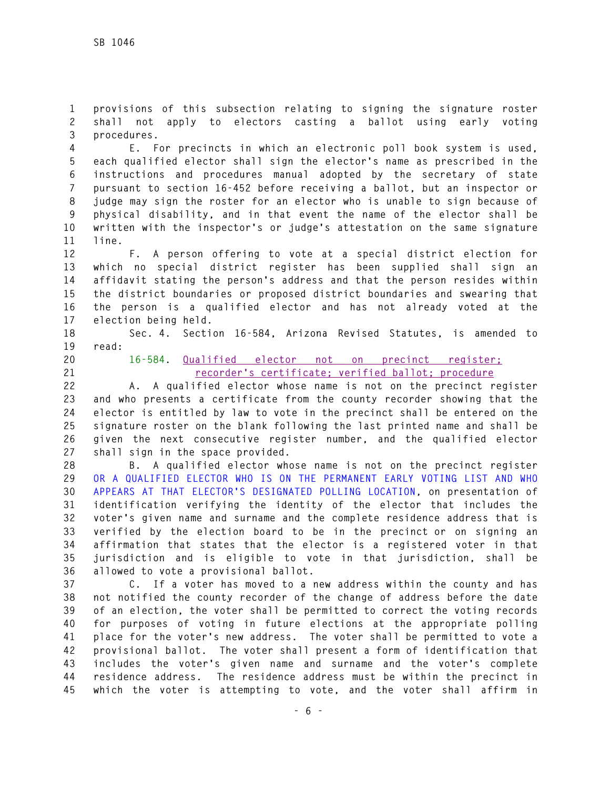**1 provisions of this subsection relating to signing the signature roster 2 shall not apply to electors casting a ballot using early voting 3 procedures.** 

**4 E. For precincts in which an electronic poll book system is used, 5 each qualified elector shall sign the elector's name as prescribed in the 6 instructions and procedures manual adopted by the secretary of state 7 pursuant to section 16-452 before receiving a ballot, but an inspector or 8 judge may sign the roster for an elector who is unable to sign because of 9 physical disability, and in that event the name of the elector shall be 10 written with the inspector's or judge's attestation on the same signature 11 line.** 

**12 F. A person offering to vote at a special district election for 13 which no special district register has been supplied shall sign an 14 affidavit stating the person's address and that the person resides within 15 the district boundaries or proposed district boundaries and swearing that 16 the person is a qualified elector and has not already voted at the 17 election being held.** 

**18 Sec. 4. Section 16-584, Arizona Revised Statutes, is amended to** 

**19 read:** 

**20 16-584. Qualified elector not on precinct register; 21 recorder's certificate; verified ballot; procedure**

**22 A. A qualified elector whose name is not on the precinct register 23 and who presents a certificate from the county recorder showing that the 24 elector is entitled by law to vote in the precinct shall be entered on the 25 signature roster on the blank following the last printed name and shall be 26 given the next consecutive register number, and the qualified elector 27 shall sign in the space provided.** 

**28 B. A qualified elector whose name is not on the precinct register 29 OR A QUALIFIED ELECTOR WHO IS ON THE PERMANENT EARLY VOTING LIST AND WHO 30 APPEARS AT THAT ELECTOR'S DESIGNATED POLLING LOCATION, on presentation of 31 identification verifying the identity of the elector that includes the 32 voter's given name and surname and the complete residence address that is 33 verified by the election board to be in the precinct or on signing an 34 affirmation that states that the elector is a registered voter in that 35 jurisdiction and is eligible to vote in that jurisdiction, shall be 36 allowed to vote a provisional ballot.** 

**37 C. If a voter has moved to a new address within the county and has 38 not notified the county recorder of the change of address before the date 39 of an election, the voter shall be permitted to correct the voting records 40 for purposes of voting in future elections at the appropriate polling 41 place for the voter's new address. The voter shall be permitted to vote a 42 provisional ballot. The voter shall present a form of identification that 43 includes the voter's given name and surname and the voter's complete 44 residence address. The residence address must be within the precinct in 45 which the voter is attempting to vote, and the voter shall affirm in**